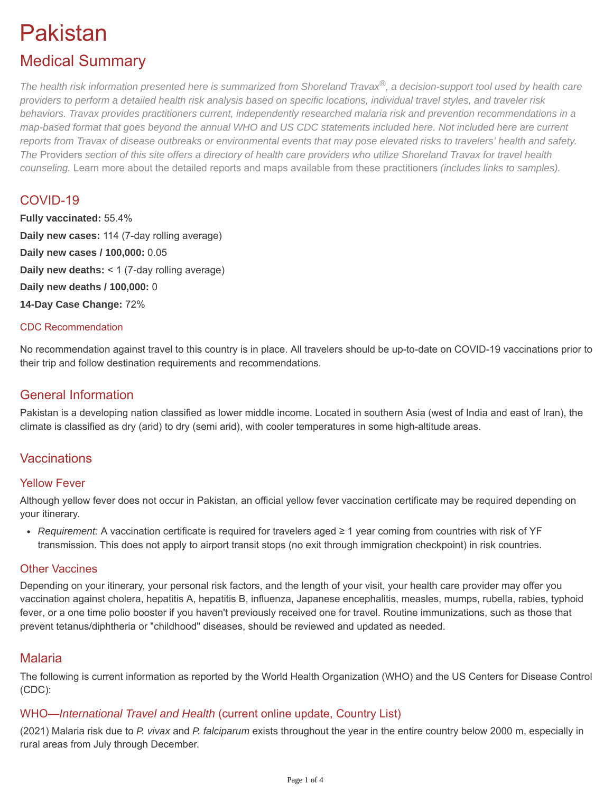# Pakistan

# Medical Summary

*The health risk information presented here is summarized from Shoreland Travax®, a decision-support tool used by health care providers to perform a detailed health risk analysis based on specific locations, individual travel styles, and traveler risk behaviors. Travax provides practitioners current, independently researched malaria risk and prevention recommendations in a map-based format that goes beyond the annual WHO and US CDC statements included here. Not included here are current reports from Travax of disease outbreaks or environmental events that may pose elevated risks to travelers' health and safety. The* [Providers](https://tripprep.com/providers) *section of this site offers a directory of health care providers who utilize Shoreland Travax for travel health counseling.* [Learn more about the detailed reports and maps available from these practitioners](http://www.shoreland.com/services/travax/destination-information) *(includes links to samples).*

# COVID-19

**Fully vaccinated:** 55.4% **Daily new cases:** 114 (7-day rolling average) **Daily new cases / 100,000:** 0.05 **Daily new deaths:** < 1 (7-day rolling average) **Daily new deaths / 100,000:** 0 **14-Day Case Change:** 72%

#### CDC Recommendation

No recommendation against travel to this country is in place. All travelers should be up-to-date on COVID-19 vaccinations prior to their trip and follow destination requirements and recommendations.

# General Information

Pakistan is a developing nation classified as lower middle income. Located in southern Asia (west of India and east of Iran), the climate is classified as dry (arid) to dry (semi arid), with cooler temperatures in some high-altitude areas.

# **Vaccinations**

#### Yellow Fever

Although yellow fever does not occur in Pakistan, an official yellow fever vaccination certificate may be required depending on your itinerary.

*Requirement:* A vaccination certificate is required for travelers aged ≥ 1 year coming from countries with risk of YF [transmission. This does not apply to airport transit stops \(no exit through immigration checkpoint\) in risk countries.](https://tripprep.com/library/yellow-fever/events/yellow-fever-risk-list)

#### Other Vaccines

Depending on your itinerary, your personal risk factors, and the length of your visit, your health care provider may offer you vaccination against cholera, hepatitis A, hepatitis B, influenza, Japanese encephalitis, measles, mumps, rubella, rabies, typhoid fever, or a one time polio booster if you haven't previously received one for travel. Routine immunizations, such as those that prevent tetanus/diphtheria or "childhood" diseases, should be reviewed and updated as needed.

# Malaria

The following is current information as reported by the World Health Organization (WHO) and the US Centers for Disease Control (CDC):

# WHO—*International Travel and Health* (current online update, Country List)

(2021) Malaria risk due to *P. vivax* and *P. falciparum* exists throughout the year in the entire country below 2000 m, especially in rural areas from July through December.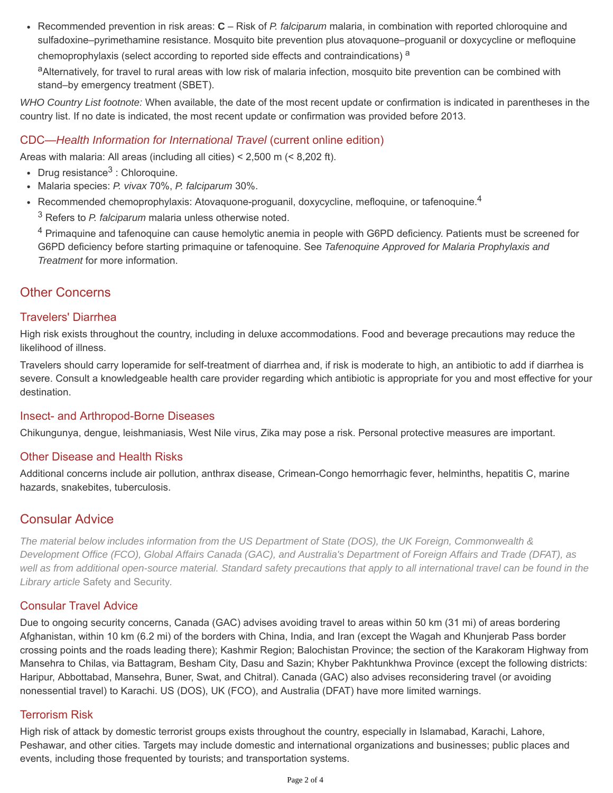Recommended prevention in risk areas: **C** – Risk of *P. falciparum* malaria, in combination with reported chloroquine and sulfadoxine–pyrimethamine resistance. Mosquito bite prevention plus atovaquone–proguanil or doxycycline or mefloquine chemoprophylaxis (select according to reported side effects and contraindications) a

aAlternatively, for travel to rural areas with low risk of malaria infection, mosquito bite prevention can be combined with stand–by emergency treatment (SBET).

*WHO Country List footnote:* When available, the date of the most recent update or confirmation is indicated in parentheses in the country list. If no date is indicated, the most recent update or confirmation was provided before 2013.

#### CDC—*Health Information for International Travel* (current online edition)

Areas with malaria: All areas (including all cities) < 2,500 m (< 8,202 ft).

- Drug resistance<sup>3</sup> : Chloroquine.
- Malaria species: *P. vivax* 70%, *P. falciparum* 30%.
- Recommended chemoprophylaxis: Atovaquone-proguanil, doxycycline, mefloquine, or tafenoquine.<sup>4</sup> 3 Refers to *P. falciparum* malaria unless otherwise noted.

<sup>4</sup> Primaquine and tafenoquine can cause hemolytic anemia in people with G6PD deficiency. Patients must be screened for G6PD deficiency before starting primaquine or tafenoquine. See *Tafenoquine Approved for Malaria Prophylaxis and Treatment* for more information.

# Other Concerns

#### Travelers' Diarrhea

High risk exists throughout the country, including in deluxe accommodations. [Food and beverage precautions](https://tripprep.com/library/travelers-diarrhea#prevention) may reduce the likelihood of illness.

Travelers should carry loperamide for self-treatment of diarrhea and, if risk is moderate to high, an antibiotic to add if diarrhea is severe. Consult a knowledgeable health care provider regarding which antibiotic is appropriate for you and most effective for your destination.

#### Insect- and Arthropod-Borne Diseases

Chikungunya, dengue, leishmaniasis, West Nile virus, Zika may pose a risk. Personal protective measures are important.

#### Other Disease and Health Risks

Additional concerns include air pollution, anthrax disease, Crimean-Congo hemorrhagic fever, helminths, hepatitis C, marine hazards, snakebites, tuberculosis.

# Consular Advice

*The material below includes information from the US Department of State (DOS), the UK Foreign, Commonwealth & Development Office (FCO), Global Affairs Canada (GAC), and Australia's Department of Foreign Affairs and Trade (DFAT), as well as from additional open-source material. Standard safety precautions that apply to all international travel can be found in the Library article* [Safety and Security](https://tripprep.com/library/safety-and-security)*.*

#### Consular Travel Advice

Due to ongoing security concerns, Canada (GAC) advises avoiding travel to areas within 50 km (31 mi) of areas bordering Afghanistan, within 10 km (6.2 mi) of the borders with China, India, and Iran (except the Wagah and Khunjerab Pass border crossing points and the roads leading there); Kashmir Region; Balochistan Province; the section of the Karakoram Highway from Mansehra to Chilas, via Battagram, Besham City, Dasu and Sazin; Khyber Pakhtunkhwa Province (except the following districts: Haripur, Abbottabad, Mansehra, Buner, Swat, and Chitral). Canada (GAC) also advises reconsidering travel (or avoiding nonessential travel) to Karachi. US (DOS), UK (FCO), and Australia (DFAT) have more limited warnings.

#### Terrorism Risk

High risk of attack by domestic terrorist groups exists throughout the country, especially in Islamabad, Karachi, Lahore, Peshawar, and other cities. Targets may include domestic and international organizations and businesses; public places and events, including those frequented by tourists; and transportation systems.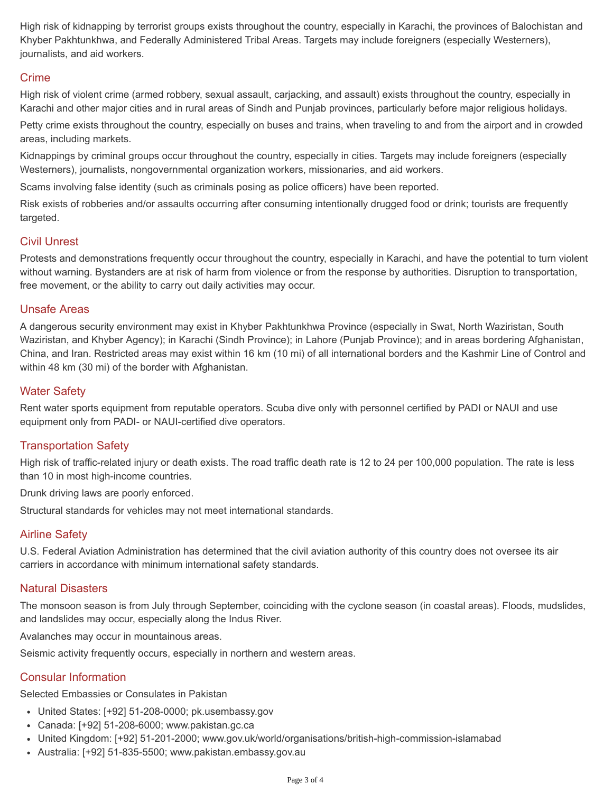High risk of kidnapping by terrorist groups exists throughout the country, especially in Karachi, the provinces of Balochistan and Khyber Pakhtunkhwa, and Federally Administered Tribal Areas. Targets may include foreigners (especially Westerners), journalists, and aid workers.

#### Crime

High risk of violent crime (armed robbery, sexual assault, carjacking, and assault) exists throughout the country, especially in Karachi and other major cities and in rural areas of Sindh and Punjab provinces, particularly before major religious holidays.

Petty crime exists throughout the country, especially on buses and trains, when traveling to and from the airport and in crowded areas, including markets.

Kidnappings by criminal groups occur throughout the country, especially in cities. Targets may include foreigners (especially Westerners), journalists, nongovernmental organization workers, missionaries, and aid workers.

Scams involving false identity (such as criminals posing as police officers) have been reported.

Risk exists of robberies and/or assaults occurring after consuming intentionally drugged food or drink; tourists are frequently targeted.

#### Civil Unrest

Protests and demonstrations frequently occur throughout the country, especially in Karachi, and have the potential to turn violent without warning. Bystanders are at risk of harm from violence or from the response by authorities. Disruption to transportation, free movement, or the ability to carry out daily activities may occur.

#### Unsafe Areas

A dangerous security environment may exist in Khyber Pakhtunkhwa Province (especially in Swat, North Waziristan, South Waziristan, and Khyber Agency); in Karachi (Sindh Province); in Lahore (Punjab Province); and in areas bordering Afghanistan, China, and Iran. Restricted areas may exist within 16 km (10 mi) of all international borders and the Kashmir Line of Control and within 48 km (30 mi) of the border with Afghanistan.

#### Water Safety

Rent water sports equipment from reputable operators. Scuba dive only with personnel certified by PADI or NAUI and use equipment only from PADI- or NAUI-certified dive operators.

#### Transportation Safety

High risk of traffic-related injury or death exists. The road traffic death rate is 12 to 24 per 100,000 population. The rate is less than 10 in most high-income countries.

Drunk driving laws are poorly enforced.

Structural standards for vehicles may not meet international standards.

#### Airline Safety

U.S. Federal Aviation Administration has determined that the civil aviation authority of this country does not oversee its air carriers in accordance with minimum international safety standards.

#### Natural Disasters

The monsoon season is from July through September, coinciding with the cyclone season (in coastal areas). Floods, mudslides, and landslides may occur, especially along the Indus River.

Avalanches may occur in mountainous areas.

Seismic activity frequently occurs, especially in northern and western areas.

#### Consular Information

Selected Embassies or Consulates in Pakistan

- United States: [+92] 51-208-0000; pk.usembassy.gov
- Canada: [+92] 51-208-6000; www.pakistan.gc.ca
- United Kingdom: [+92] 51-201-2000; www.gov.uk/world/organisations/british-high-commission-islamabad
- Australia: [+92] 51-835-5500; www.pakistan.embassy.gov.au